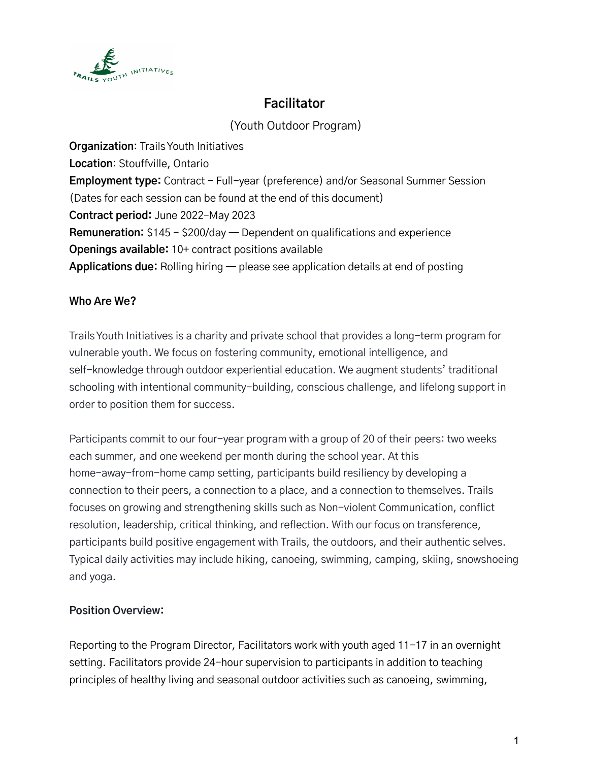

# **Facilitator**

(Youth Outdoor Program)

**Organization**: TrailsYouth Initiatives **Location**: Stouffville, Ontario **Employment type:** Contract - Full-year (preference) and/or Seasonal Summer Session (Dates for each session can be found at the end of this document) **Contract period:** June 2022–May 2023 **Remuneration:** \$145 - \$200/day — Dependent on qualifications and experience **Openings available:** 10+ contract positions available **Applications due:** Rolling hiring — please see application details at end of posting

### **Who Are We?**

TrailsYouth Initiatives is a charity and private school that provides a long-term program for vulnerable youth. We focus on fostering community, emotional intelligence, and self-knowledge through outdoor experiential education. We augment students' traditional schooling with intentional community-building, conscious challenge, and lifelong support in order to position them for success.

Participants commit to our four-year program with a group of 20 of their peers: two weeks each summer, and one weekend per month during the school year. At this home-away-from-home camp setting, participants build resiliency by developing a connection to their peers, a connection to a place, and a connection to themselves. Trails focuses on growing and strengthening skills such as Non-violent Communication, conflict resolution, leadership, critical thinking, and reflection. With our focus on transference, participants build positive engagement with Trails, the outdoors, and their authentic selves. Typical daily activities may include hiking, canoeing, swimming, camping, skiing, snowshoeing and yoga.

### **Position Overview:**

Reporting to the Program Director, Facilitators work with youth aged 11-17 in an overnight setting. Facilitators provide 24-hour supervision to participants in addition to teaching principles of healthy living and seasonal outdoor activities such as canoeing, swimming,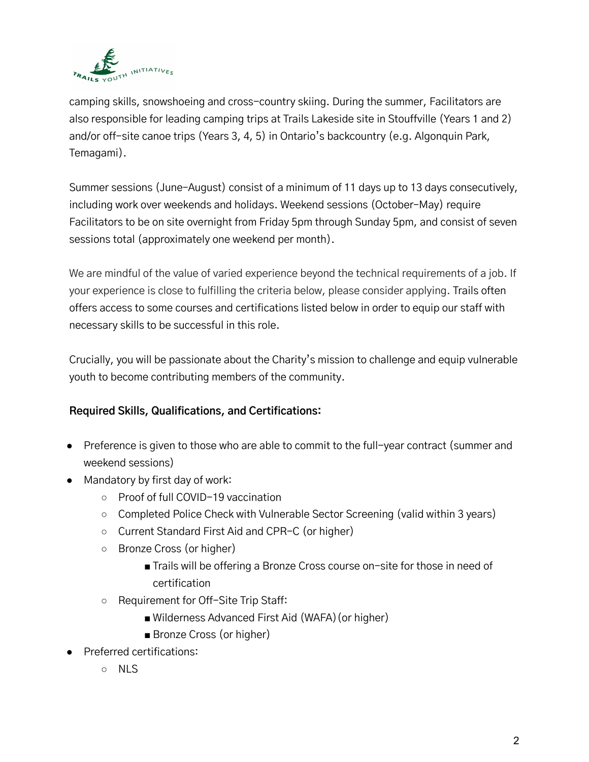

camping skills, snowshoeing and cross-country skiing. During the summer, Facilitators are also responsible for leading camping trips at Trails Lakeside site in Stouffville (Years 1 and 2) and/or off-site canoe trips (Years 3, 4, 5) in Ontario's backcountry (e.g. Algonquin Park, Temagami).

Summer sessions (June–August) consist of a minimum of 11 days up to 13 days consecutively, including work over weekends and holidays. Weekend sessions (October–May) require Facilitators to be on site overnight from Friday 5pm through Sunday 5pm, and consist of seven sessions total (approximately one weekend per month).

We are mindful of the value of varied experience beyond the technical requirements of a job. If your experience is close to fulfilling the criteria below, please consider applying. Trails often offers access to some courses and certifications listed below in order to equip our staff with necessary skills to be successful in this role.

Crucially, you will be passionate about the Charity's mission to challenge and equip vulnerable youth to become contributing members of the community.

### **Required Skills, Qualifications, and Certifications:**

- Preference is given to those who are able to commit to the full-year contract (summer and weekend sessions)
- Mandatory by first day of work:
	- Proof of full COVID-19 vaccination
	- Completed Police Check with Vulnerable Sector Screening (valid within 3 years)
	- Current Standard First Aid and CPR-C (or higher)
	- Bronze Cross (or higher)
		- Trails will be offering a Bronze Cross course on-site for those in need of certification
	- Requirement for Off-Site Trip Staff:
		- Wilderness Advanced First Aid (WAFA) (or higher)
		- Bronze Cross (or higher)
- Preferred certifications:
	- NLS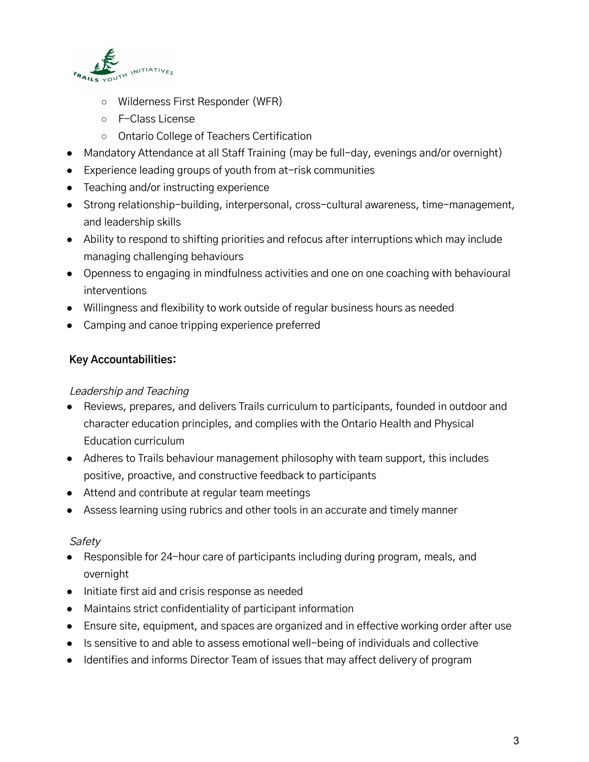

- Wilderness First Responder (WFR)
- F-Class License
- Ontario College of Teachers Certification
- Mandatory Attendance at all Staff Training (may be full-day, evenings and/or overnight)
- Experience leading groups of youth from at-risk communities
- Teaching and/or instructing experience
- Strong relationship-building, interpersonal, cross-cultural awareness, time-management, and leadership skills
- Ability to respond to shifting priorities and refocus after interruptions which may include managing challenging behaviours
- Openness to engaging in mindfulness activities and one on one coaching with behavioural interventions
- Willingness and flexibility to work outside of regular business hours as needed
- Camping and canoe tripping experience preferred

#### **Key Accountabilities:**

#### Leadership and Teaching

- Reviews, prepares, and delivers Trails curriculum to participants, founded in outdoor and character education principles, and complies with the Ontario Health and Physical Education curriculum
- Adheres to Trails behaviour management philosophy with team support, this includes positive, proactive, and constructive feedback to participants
- Attend and contribute at regular team meetings
- Assess learning using rubrics and other tools in an accurate and timely manner

#### **Safety**

- Responsible for 24-hour care of participants including during program, meals, and overnight
- Initiate first aid and crisis response as needed
- Maintains strict confidentiality of participant information
- Ensure site, equipment, and spaces are organized and in effective working order after use
- Is sensitive to and able to assess emotional well-being of individuals and collective
- Identifies and informs Director Team of issues that may affect delivery of program